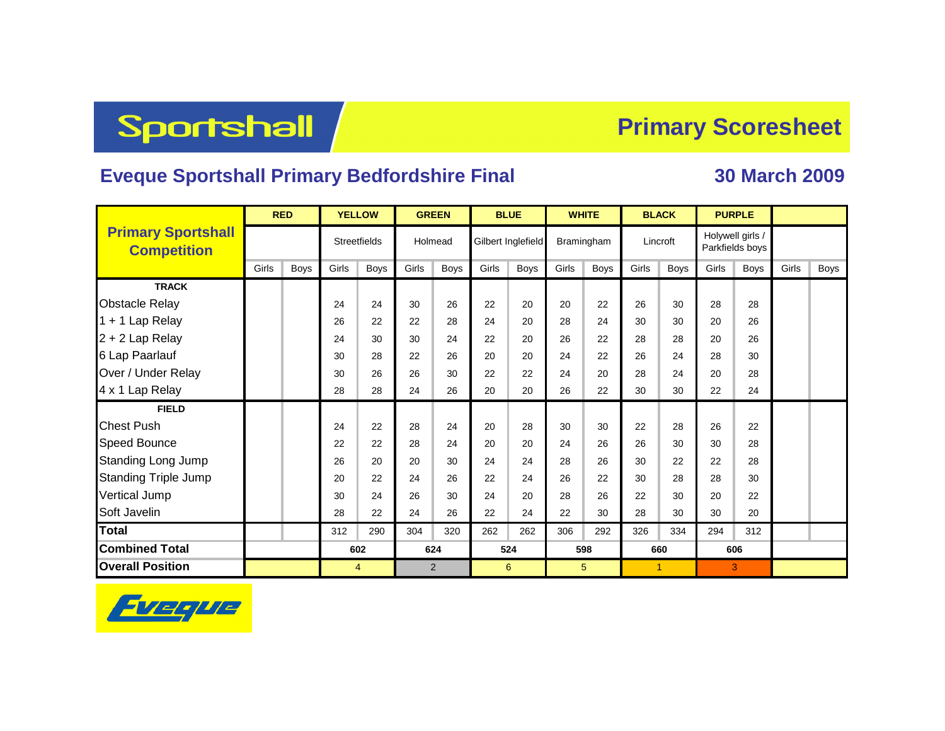# **Sportshall**

#### **Primary Scoresheet**

#### **Eveque Sportshall Primary Bedfordshire Final 30 March 2009**

|                                                 | <b>RED</b> |      |                     | <b>YELLOW</b> |         | <b>GREEN</b> | <b>BLUE</b>        |             | <b>WHITE</b> |             |          | <b>BLACK</b>   |                                     | <b>PURPLE</b> |       |      |
|-------------------------------------------------|------------|------|---------------------|---------------|---------|--------------|--------------------|-------------|--------------|-------------|----------|----------------|-------------------------------------|---------------|-------|------|
| <b>Primary Sportshall</b><br><b>Competition</b> |            |      | <b>Streetfields</b> |               | Holmead |              | Gilbert Inglefield |             | Bramingham   |             | Lincroft |                | Holywell girls /<br>Parkfields boys |               |       |      |
|                                                 | Girls      | Boys | Girls               | <b>Boys</b>   | Girls   | <b>Boys</b>  | Girls              | <b>Boys</b> | Girls        | <b>Boys</b> | Girls    | <b>Boys</b>    | Girls                               | <b>Boys</b>   | Girls | Boys |
| <b>TRACK</b>                                    |            |      |                     |               |         |              |                    |             |              |             |          |                |                                     |               |       |      |
| <b>Obstacle Relay</b>                           |            |      | 24                  | 24            | 30      | 26           | 22                 | 20          | 20           | 22          | 26       | 30             | 28                                  | 28            |       |      |
| 1 + 1 Lap Relay                                 |            |      | 26                  | 22            | 22      | 28           | 24                 | 20          | 28           | 24          | 30       | 30             | 20                                  | 26            |       |      |
| 2 + 2 Lap Relay                                 |            |      | 24                  | 30            | 30      | 24           | 22                 | 20          | 26           | 22          | 28       | 28             | 20                                  | 26            |       |      |
| 6 Lap Paarlauf                                  |            |      | 30                  | 28            | 22      | 26           | 20                 | 20          | 24           | 22          | 26       | 24             | 28                                  | 30            |       |      |
| Over / Under Relay                              |            |      | 30                  | 26            | 26      | 30           | 22                 | 22          | 24           | 20          | 28       | 24             | 20                                  | 28            |       |      |
| 4 x 1 Lap Relay                                 |            |      | 28                  | 28            | 24      | 26           | 20                 | 20          | 26           | 22          | 30       | 30             | 22                                  | 24            |       |      |
| <b>FIELD</b>                                    |            |      |                     |               |         |              |                    |             |              |             |          |                |                                     |               |       |      |
| <b>Chest Push</b>                               |            |      | 24                  | 22            | 28      | 24           | 20                 | 28          | 30           | 30          | 22       | 28             | 26                                  | 22            |       |      |
| <b>Speed Bounce</b>                             |            |      | 22                  | 22            | 28      | 24           | 20                 | 20          | 24           | 26          | 26       | 30             | 30                                  | 28            |       |      |
| <b>Standing Long Jump</b>                       |            |      | 26                  | 20            | 20      | 30           | 24                 | 24          | 28           | 26          | 30       | 22             | 22                                  | 28            |       |      |
| <b>Standing Triple Jump</b>                     |            |      | 20                  | 22            | 24      | 26           | 22                 | 24          | 26           | 22          | 30       | 28             | 28                                  | 30            |       |      |
| <b>Vertical Jump</b>                            |            |      | 30                  | 24            | 26      | 30           | 24                 | 20          | 28           | 26          | 22       | 30             | 20                                  | 22            |       |      |
| Soft Javelin                                    |            |      | 28                  | 22            | 24      | 26           | 22                 | 24          | 22           | 30          | 28       | 30             | 30                                  | 20            |       |      |
| <b>Total</b>                                    |            |      | 312                 | 290           | 304     | 320          | 262                | 262         | 306          | 292         | 326      | 334            | 294                                 | 312           |       |      |
| <b>Combined Total</b>                           |            |      | 602                 |               | 624     |              | 524                |             | 598          |             |          | 660            |                                     | 606           |       |      |
| <b>Overall Position</b>                         |            |      | $\overline{4}$      |               | 2       |              | 6                  |             | 5            |             |          | $\overline{1}$ |                                     | 3             |       |      |

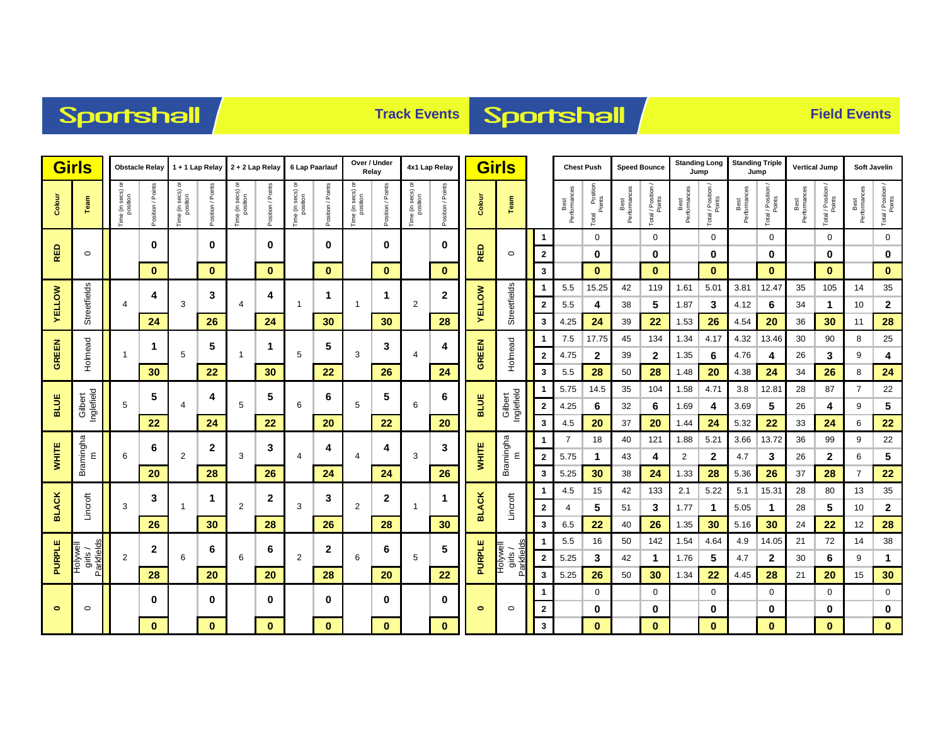## Sportshall

## **Track Events Sportshall**

|               | <b>Girls</b><br><b>Obstacle Relay</b> |                               | 1 + 1 Lap Relay   |                               | 2 + 2 Lap Relay     |                               | 6 Lap Paarlauf    |                                    | Over / Under<br>Relay |                   | 4x1 Lap Relay     |                               | <b>Girls</b>      |               |                                       |                              | <b>Chest Push</b>    |                               | <b>Speed Bounce</b>  | <b>Standing Long</b><br>Jump |                      | <b>Standing Triple</b><br>Jump |                      | <b>Vertical Jump</b>         |                      | <b>Soft Javelin</b> |                      |                              |
|---------------|---------------------------------------|-------------------------------|-------------------|-------------------------------|---------------------|-------------------------------|-------------------|------------------------------------|-----------------------|-------------------|-------------------|-------------------------------|-------------------|---------------|---------------------------------------|------------------------------|----------------------|-------------------------------|----------------------|------------------------------|----------------------|--------------------------------|----------------------|------------------------------|----------------------|---------------------|----------------------|------------------------------|
| Colour        | Team                                  | Time (in secs) or<br>position | Position / Points | Time (in secs) or<br>position | Position / Points   | Time (in secs) or<br>position | Position / Points | a (in secs) or<br>position<br>Time | Position / Points     | Time (in secs) or | Position / Points | Time (in secs) or<br>position | Position / Points | Colour        | Team                                  |                              | Best<br>Performances | I Position<br>Points<br>Total | Best<br>Performances | Total / Position /           | Best<br>Performances | Total / Position /<br>Points   | Best<br>Performances | Total / Position /<br>Points | Best<br>Performances | Total / Position /  | Best<br>Performances | Total / Position /<br>Points |
|               |                                       |                               | $\bf{0}$          |                               | $\mathbf 0$         |                               | 0                 |                                    | 0                     |                   | 0                 |                               | 0                 |               |                                       | $\mathbf{1}$                 |                      | $\mathbf 0$                   |                      | 0                            |                      | $\mathbf 0$                    |                      | 0                            |                      | $\mathbf 0$         |                      | $\mathbf 0$                  |
| <b>RED</b>    | $\circ$                               |                               |                   |                               |                     |                               |                   |                                    |                       |                   |                   |                               |                   | <b>RED</b>    | $\circ$                               | $\overline{\mathbf{2}}$      |                      | 0                             |                      | 0                            |                      | 0                              |                      | 0                            |                      | 0                   |                      | 0                            |
|               |                                       |                               | $\bf{0}$          |                               | $\mathbf{0}$        |                               | $\mathbf{0}$      |                                    | $\mathbf{0}$          |                   | $\mathbf{0}$      |                               | $\bf{0}$          |               |                                       | 3                            |                      | $\bf{0}$                      |                      | $\bf{0}$                     |                      | $\mathbf{0}$                   |                      | $\bf{0}$                     |                      | $\mathbf{0}$        |                      | $\bf{0}$                     |
|               |                                       |                               | 4                 |                               | 3                   |                               | 4                 |                                    | 1                     |                   | 1                 |                               | 2                 |               |                                       | -1                           | 5.5                  | 15.25                         | 42                   | 119                          | 1.61                 | 5.01                           | 3.81                 | 12.47                        | 35                   | 105                 | 14                   | 35                           |
| <b>VELLOW</b> | Streetfields                          | $\overline{4}$                |                   | 3                             |                     | $\overline{4}$                |                   | $\mathbf{1}$                       |                       | $\mathbf 1$       |                   | 2                             |                   | <b>AELLOM</b> | Streetfields                          | $\overline{\mathbf{2}}$      | 5.5                  | 4                             | 38                   | 5                            | 1.87                 | 3                              | 4.12                 | 6                            | 34                   | 1                   | 10                   | $\mathbf{2}$                 |
|               |                                       |                               | 24                |                               | 26                  |                               | 24                |                                    | 30                    |                   | 30                |                               | 28                |               |                                       | 3                            | 4.25                 | 24                            | 39                   | 22                           | 1.53                 | 26                             | 4.54                 | 20                           | 36                   | 30                  | 11                   | 28                           |
| GREEN         |                                       |                               | 1                 |                               | 5                   |                               | 1                 |                                    | 5                     |                   | 3                 |                               | 4                 |               |                                       | $\mathbf 1$                  | 7.5                  | 17.75                         | 45                   | 134                          | 1.34                 | 4.17                           | 4.32                 | 13.46                        | 30                   | 90                  | 8                    | 25                           |
|               | Holmead                               |                               |                   | 5                             |                     |                               | 5<br>$\mathbf{1}$ |                                    | 3                     |                   | $\overline{4}$    |                               | GREEN             | Holmead       | $\overline{\mathbf{2}}$               | 4.75                         | $\mathbf{2}$         | 39                            | $\mathbf{2}$         | 1.35                         | 6                    | 4.76                           | 4                    | 26                           | 3                    | 9                   | 4                    |                              |
|               |                                       |                               | 30                |                               | 22                  |                               | 30                |                                    | 22                    |                   | 26                |                               | 24                |               |                                       | 3                            | 5.5                  | 28                            | 50                   | 28                           | 1.48                 | 20                             | 4.38                 | 24                           | 34                   | 26                  | 8                    | 24                           |
|               |                                       | 5                             | 5                 |                               | 4<br>$\overline{4}$ | 5                             | 5                 | 6                                  | 6                     | 5                 | 5                 | 6                             | 6                 | <b>BLUE</b>   | Gilbert<br>Inglefield                 |                              | 5.75                 | 14.5                          | 35                   | 104                          | 1.58                 | 4.71                           | 3.8                  | 12.81                        | 28                   | 87                  | $\overline{7}$<br>9  | 22                           |
| BLUE          | Gilbert<br>Inglefield                 |                               | 22                |                               | 24                  |                               | 22                |                                    | 20                    |                   | 22                |                               | 20                |               |                                       | $\overline{\mathbf{2}}$<br>3 | 4.25<br>4.5          | 6<br>20                       | 32<br>37             | 6<br>20                      | 1.69<br>1.44         | 4<br>24                        | 3.69<br>5.32         | 5<br>22                      | 26<br>33             | 4<br>24             | 6                    | 5<br>22                      |
|               |                                       |                               |                   |                               |                     |                               |                   |                                    |                       |                   |                   |                               |                   |               |                                       | 1                            | 7                    | 18                            | 40                   | 121                          | 1.88                 | 5.21                           | 3.66                 | 13.72                        | 36                   | 99                  | 9                    | 22                           |
| <b>WHITE</b>  | ε                                     | 6                             | 6                 | 2                             | $\mathbf{2}$        | 3                             | 3                 | 4                                  | 4                     | 4                 | 4                 | 3                             | 3                 | <b>WHITE</b>  | Bramingha<br>ε                        | $\overline{\mathbf{2}}$      | 5.75                 | 1                             | 43                   | 4                            | 2                    | $\mathbf{2}$                   | 4.7                  | 3                            | 26                   | 2                   | 6                    | 5                            |
|               | Bramingha                             |                               | 20                |                               | 28                  |                               | 26                |                                    | 24                    |                   | 24                |                               | 26                |               |                                       | 3                            | 5.25                 | 30                            | 38                   | 24                           | 1.33                 | 28                             | 5.36                 | 26                           | 37                   | 28                  | $\overline{7}$       | 22                           |
|               |                                       |                               |                   |                               |                     |                               |                   |                                    |                       |                   |                   |                               |                   |               |                                       | -1                           | 4.5                  | 15                            | 42                   | 133                          | 2.1                  | 5.22                           | 5.1                  | 15.31                        | 28                   | 80                  | 13                   | 35                           |
| <b>BLACK</b>  | Lincroft                              | 3                             | 3                 | $\mathbf{1}$                  | 1                   | $\overline{2}$                | $\mathbf{2}$      | 3                                  | 3                     | 2                 | $\mathbf{2}$      | -1                            | -1                | <b>BLACK</b>  | Lincroft                              | $\overline{\mathbf{2}}$      | 4                    | 5                             | 51                   | 3                            | 1.77                 | $\mathbf{1}$                   | 5.05                 | $\mathbf{1}$                 | 28                   | 5                   | 10                   | $\mathbf{2}$                 |
|               |                                       |                               | 26                |                               | 30                  |                               | 28                |                                    | 26                    |                   | 28                |                               | 30                |               |                                       | 3                            | 6.5                  | 22                            | 40                   | 26                           | 1.35                 | 30                             | 5.16                 | 30                           | 24                   | 22                  | 12                   | 28                           |
|               |                                       |                               |                   |                               |                     |                               |                   |                                    |                       |                   |                   |                               |                   |               |                                       | $\mathbf 1$                  | 5.5                  | 16                            | 50                   | 142                          | 1.54                 | 4.64                           | 4.9                  | 14.05                        | 21                   | 72                  | 14                   | 38                           |
| <b>PURPLE</b> | Holywell<br>girls /<br>Parkfields     | $\overline{2}$                | $\mathbf{2}$      | 6                             | 6                   | 6                             | 6                 | 2                                  | 2                     | 6                 | 6                 | 5                             | 5                 | PURPLE        | Parkfields<br>Holywell<br>  girls<br> | $\overline{2}$               | 5.25                 | 3                             | 42                   | $\mathbf 1$                  | 1.76                 | 5                              | 4.7                  | $\mathbf{2}$                 | 30                   | 6                   | 9                    | $\mathbf 1$                  |
|               |                                       |                               | 28                |                               | 20<br>20            | 28                            |                   | 20                                 |                       | 22                |                   |                               | 3                 | 5.25          | 26                                    | 50                           | 30                   | 1.34                          | 22                   | 4.45                         | 28                   | 21                             | 20                   | 15                           | 30                   |                     |                      |                              |
|               |                                       |                               | 0                 |                               | $\bf{0}$            |                               | 0                 |                                    | 0                     |                   | $\bf{0}$          |                               | 0                 |               |                                       | $\mathbf 1$                  |                      | 0                             |                      | 0                            |                      | $\mathbf 0$                    |                      | 0                            |                      | $\mathbf 0$         |                      | $\mathbf 0$                  |
| $\bullet$     | $\circ$                               |                               |                   |                               |                     |                               |                   |                                    |                       |                   |                   |                               |                   | $\bullet$     | $\circ$                               | $\mathbf{2}$                 |                      | 0                             |                      | 0                            |                      | 0                              |                      | 0                            |                      | 0                   |                      | 0                            |
|               |                                       |                               | $\bf{0}$          |                               | $\mathbf{0}$        |                               | $\mathbf{0}$      |                                    | $\mathbf{0}$          |                   | $\mathbf{0}$      |                               | $\mathbf{0}$      |               |                                       | 3                            |                      | $\bf{0}$                      |                      | $\bf{0}$                     |                      | $\bf{0}$                       |                      | $\bf{0}$                     |                      | $\bf{0}$            |                      | $\mathbf{0}$                 |